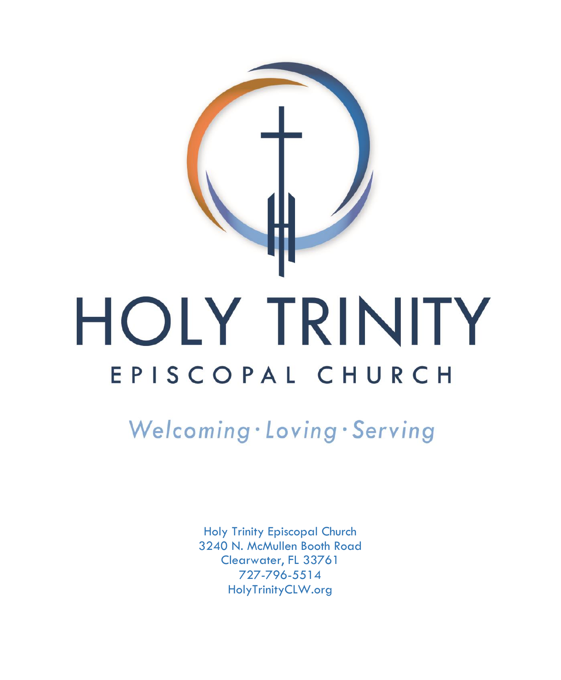

# **HOLY TRINITY** EPISCOPAL CHURCH

Welcoming . Loving . Serving

Holy Trinity Episcopal Church 3240 N. McMullen Booth Road Clearwater, FL 33761 727-796-5514 HolyTrinityCLW.org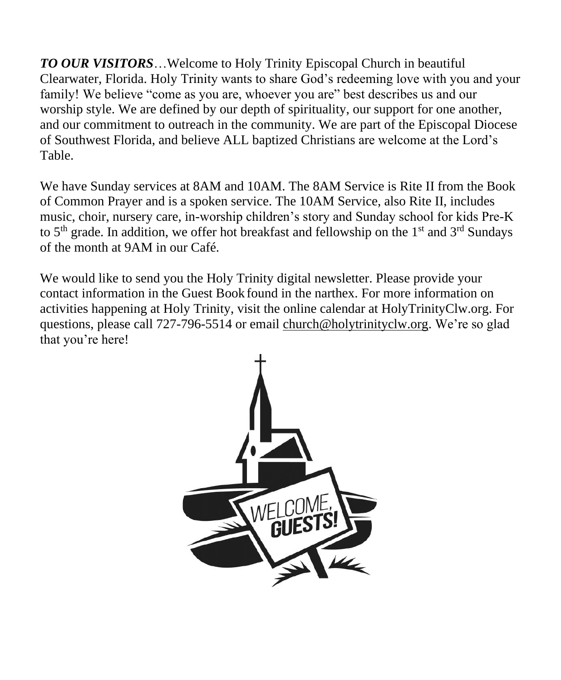*TO OUR VISITORS*…Welcome to Holy Trinity Episcopal Church in beautiful Clearwater, Florida. Holy Trinity wants to share God's redeeming love with you and your family! We believe "come as you are, whoever you are" best describes us and our worship style. We are defined by our depth of spirituality, our support for one another, and our commitment to outreach in the community. We are part of the Episcopal Diocese of Southwest Florida, and believe ALL baptized Christians are welcome at the Lord's Table.

We have Sunday services at 8AM and 10AM. The 8AM Service is Rite II from the Book of Common Prayer and is a spoken service. The 10AM Service, also Rite II, includes music, choir, nursery care, in-worship children's story and Sunday school for kids Pre-K to  $5<sup>th</sup>$  grade. In addition, we offer hot breakfast and fellowship on the 1<sup>st</sup> and  $3<sup>rd</sup>$  Sundays of the month at 9AM in our Café.

We would like to send you the Holy Trinity digital newsletter. Please provide your contact information in the Guest Book found in the narthex. For more information on activities happening at Holy Trinity, visit the online calendar at HolyTrinityClw.org. For questions, please call 727-796-5514 or email [church@holytrinityclw.org.](mailto:church@holytrinityclw.org) We're so glad that you're here!

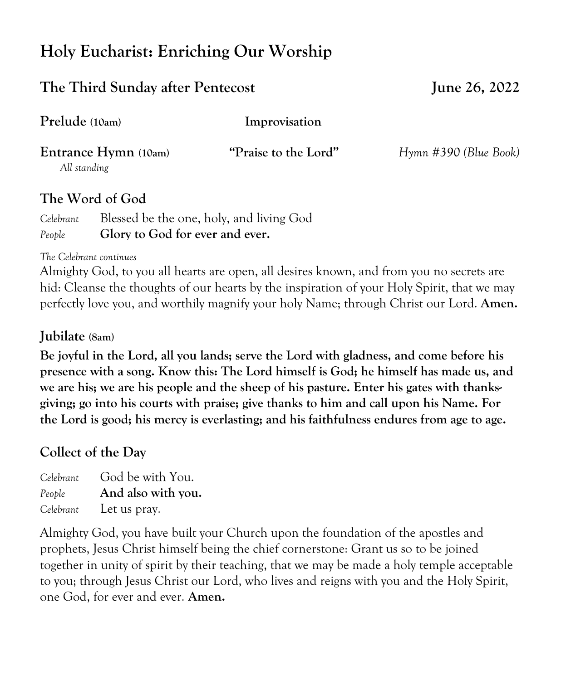# **Holy Eucharist: Enriching Our Worship**

# **The Third Sunday after Pentecost June 26, 2022**

| Prelude (10am)                       | Improvisation        |                         |
|--------------------------------------|----------------------|-------------------------|
| Entrance Hymn (10am)<br>All standing | "Praise to the Lord" | $HYmn$ #390 (Blue Book) |

# **The Word of God**

*Celebrant* Blessed be the one, holy, and living God *People* **Glory to God for ever and ever.**

#### *The Celebrant continues*

Almighty God, to you all hearts are open, all desires known, and from you no secrets are hid: Cleanse the thoughts of our hearts by the inspiration of your Holy Spirit, that we may perfectly love you, and worthily magnify your holy Name; through Christ our Lord. **Amen.**

### **Jubilate (8am)**

**Be joyful in the Lord, all you lands; serve the Lord with gladness, and come before his presence with a song. Know this: The Lord himself is God; he himself has made us, and we are his; we are his people and the sheep of his pasture. Enter his gates with thanksgiving; go into his courts with praise; give thanks to him and call upon his Name. For the Lord is good; his mercy is everlasting; and his faithfulness endures from age to age.**

# **Collect of the Day**

| Celebrant | God be with You.   |
|-----------|--------------------|
| People    | And also with you. |
| Celebrant | Let us pray.       |

Almighty God, you have built your Church upon the foundation of the apostles and prophets, Jesus Christ himself being the chief cornerstone: Grant us so to be joined together in unity of spirit by their teaching, that we may be made a holy temple acceptable to you; through Jesus Christ our Lord, who lives and reigns with you and the Holy Spirit, one God, for ever and ever. **Amen.**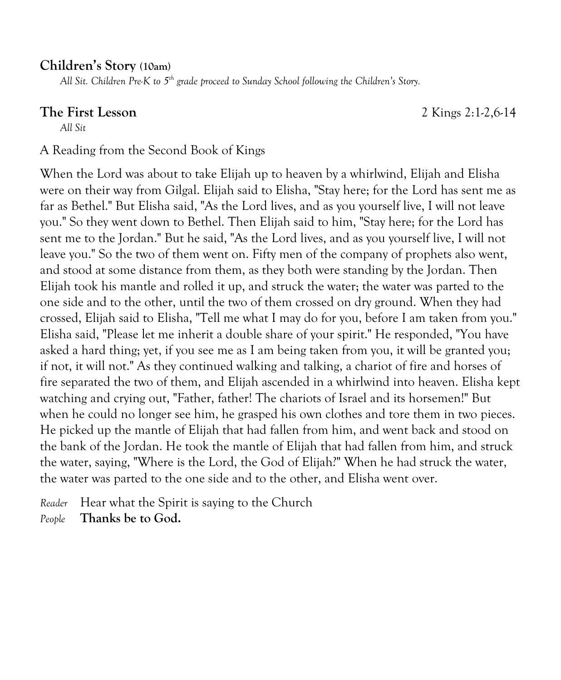#### **Children's Story (10am)**

*All Sit. Children Pre-K to 5th grade proceed to Sunday School following the Children's Story.*

#### **The First Lesson** 2 Kings 2:1-2,6-14

*All Sit*

A Reading from the Second Book of Kings

When the Lord was about to take Elijah up to heaven by a whirlwind, Elijah and Elisha were on their way from Gilgal. Elijah said to Elisha, "Stay here; for the Lord has sent me as far as Bethel." But Elisha said, "As the Lord lives, and as you yourself live, I will not leave you." So they went down to Bethel. Then Elijah said to him, "Stay here; for the Lord has sent me to the Jordan." But he said, "As the Lord lives, and as you yourself live, I will not leave you." So the two of them went on. Fifty men of the company of prophets also went, and stood at some distance from them, as they both were standing by the Jordan. Then Elijah took his mantle and rolled it up, and struck the water; the water was parted to the one side and to the other, until the two of them crossed on dry ground. When they had crossed, Elijah said to Elisha, "Tell me what I may do for you, before I am taken from you." Elisha said, "Please let me inherit a double share of your spirit." He responded, "You have asked a hard thing; yet, if you see me as I am being taken from you, it will be granted you; if not, it will not." As they continued walking and talking, a chariot of fire and horses of fire separated the two of them, and Elijah ascended in a whirlwind into heaven. Elisha kept watching and crying out, "Father, father! The chariots of Israel and its horsemen!" But when he could no longer see him, he grasped his own clothes and tore them in two pieces. He picked up the mantle of Elijah that had fallen from him, and went back and stood on the bank of the Jordan. He took the mantle of Elijah that had fallen from him, and struck the water, saying, "Where is the Lord, the God of Elijah?" When he had struck the water, the water was parted to the one side and to the other, and Elisha went over.

- *Reader* Hear what the Spirit is saying to the Church
- *People* **Thanks be to God.**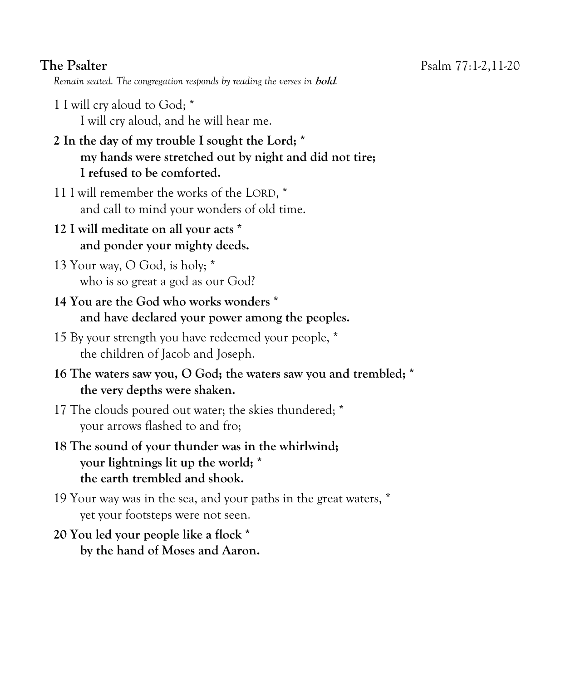*Remain seated. The congregation responds by reading the verses in* **bold***.*

- 1 I will cry aloud to God; \* I will cry aloud, and he will hear me.
- **2 In the day of my trouble I sought the Lord; \* my hands were stretched out by night and did not tire; I refused to be comforted.**
- 11 I will remember the works of the LORD, \* and call to mind your wonders of old time.
- **12 I will meditate on all your acts \* and ponder your mighty deeds.**
- 13 Your way, O God, is holy; \* who is so great a god as our God?
- **14 You are the God who works wonders \* and have declared your power among the peoples.**
- 15 By your strength you have redeemed your people, \* the children of Jacob and Joseph.
- **16 The waters saw you, O God; the waters saw you and trembled; \* the very depths were shaken.**
- 17 The clouds poured out water; the skies thundered; \* your arrows flashed to and fro;
- **18 The sound of your thunder was in the whirlwind; your lightnings lit up the world; \* the earth trembled and shook.**
- 19 Your way was in the sea, and your paths in the great waters, \* yet your footsteps were not seen.
- **20 You led your people like a flock \* by the hand of Moses and Aaron.**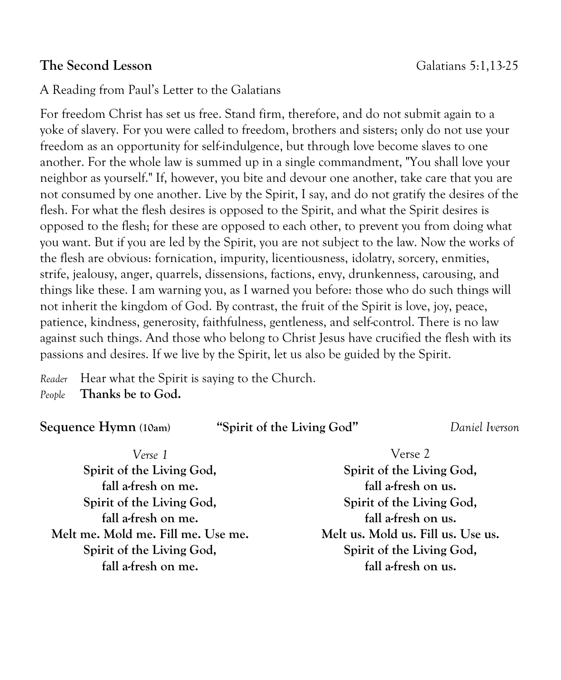#### **The Second Lesson** Galatians 5:1,13-25

A Reading from Paul's Letter to the Galatians

For freedom Christ has set us free. Stand firm, therefore, and do not submit again to a yoke of slavery. For you were called to freedom, brothers and sisters; only do not use your freedom as an opportunity for self-indulgence, but through love become slaves to one another. For the whole law is summed up in a single commandment, "You shall love your neighbor as yourself." If, however, you bite and devour one another, take care that you are not consumed by one another. Live by the Spirit, I say, and do not gratify the desires of the flesh. For what the flesh desires is opposed to the Spirit, and what the Spirit desires is opposed to the flesh; for these are opposed to each other, to prevent you from doing what you want. But if you are led by the Spirit, you are not subject to the law. Now the works of the flesh are obvious: fornication, impurity, licentiousness, idolatry, sorcery, enmities, strife, jealousy, anger, quarrels, dissensions, factions, envy, drunkenness, carousing, and things like these. I am warning you, as I warned you before: those who do such things will not inherit the kingdom of God. By contrast, the fruit of the Spirit is love, joy, peace, patience, kindness, generosity, faithfulness, gentleness, and self-control. There is no law against such things. And those who belong to Christ Jesus have crucified the flesh with its passions and desires. If we live by the Spirit, let us also be guided by the Spirit.

*Reader* Hear what the Spirit is saying to the Church. *People* **Thanks be to God.**

| Sequence Hymn (10am)               | "Spirit of the Living God" | Daniel Iverson                     |
|------------------------------------|----------------------------|------------------------------------|
| Verse 1                            |                            | Verse 2.                           |
| Spirit of the Living God,          |                            | Spirit of the Living God,          |
| fall a-fresh on me.                |                            | fall a-fresh on us.                |
| Spirit of the Living God,          |                            | Spirit of the Living God,          |
| fall a-fresh on me.                |                            | fall a-fresh on us.                |
| Melt me. Mold me. Fill me. Use me. |                            | Melt us. Mold us. Fill us. Use us. |
| Spirit of the Living God,          |                            | Spirit of the Living God,          |
| fall a-fresh on me.                |                            | fall a-fresh on us.                |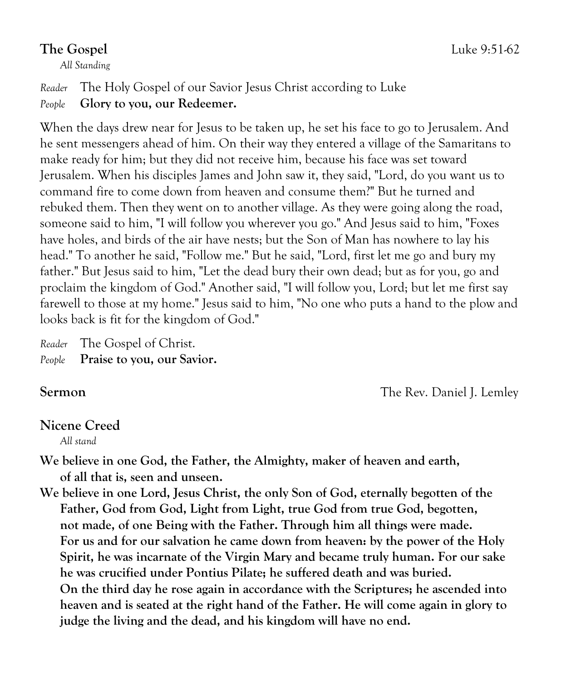*All Standing*

# *Reader* The Holy Gospel of our Savior Jesus Christ according to Luke *People* **Glory to you, our Redeemer.**

When the days drew near for Jesus to be taken up, he set his face to go to Jerusalem. And he sent messengers ahead of him. On their way they entered a village of the Samaritans to make ready for him; but they did not receive him, because his face was set toward Jerusalem. When his disciples James and John saw it, they said, "Lord, do you want us to command fire to come down from heaven and consume them?" But he turned and rebuked them. Then they went on to another village. As they were going along the road, someone said to him, "I will follow you wherever you go." And Jesus said to him, "Foxes have holes, and birds of the air have nests; but the Son of Man has nowhere to lay his head." To another he said, "Follow me." But he said, "Lord, first let me go and bury my father." But Jesus said to him, "Let the dead bury their own dead; but as for you, go and proclaim the kingdom of God." Another said, "I will follow you, Lord; but let me first say farewell to those at my home." Jesus said to him, "No one who puts a hand to the plow and looks back is fit for the kingdom of God."

*Reader* The Gospel of Christ. *People* **Praise to you, our Savior.**

### **Nicene Creed**

*All stand*

**We believe in one God, the Father, the Almighty, maker of heaven and earth, of all that is, seen and unseen.**

**We believe in one Lord, Jesus Christ, the only Son of God, eternally begotten of the Father, God from God, Light from Light, true God from true God, begotten, not made, of one Being with the Father. Through him all things were made. For us and for our salvation he came down from heaven: by the power of the Holy Spirit, he was incarnate of the Virgin Mary and became truly human. For our sake he was crucified under Pontius Pilate; he suffered death and was buried. On the third day he rose again in accordance with the Scriptures; he ascended into heaven and is seated at the right hand of the Father. He will come again in glory to judge the living and the dead, and his kingdom will have no end.**

**Sermon** The Rev. Daniel J. Lemley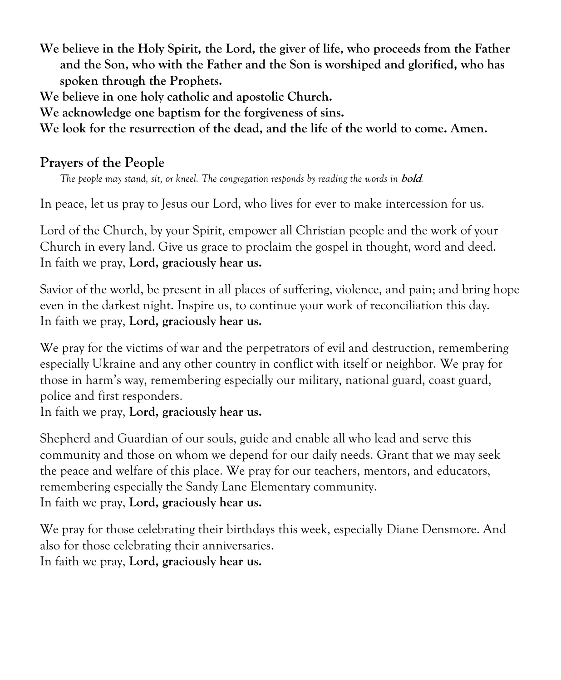- **We believe in the Holy Spirit, the Lord, the giver of life, who proceeds from the Father and the Son, who with the Father and the Son is worshiped and glorified, who has spoken through the Prophets.**
- **We believe in one holy catholic and apostolic Church.**
- **We acknowledge one baptism for the forgiveness of sins.**

**We look for the resurrection of the dead, and the life of the world to come. Amen.**

# **Prayers of the People**

*The people may stand, sit, or kneel. The congregation responds by reading the words in* **bold***.*

In peace, let us pray to Jesus our Lord, who lives for ever to make intercession for us.

Lord of the Church, by your Spirit, empower all Christian people and the work of your Church in every land. Give us grace to proclaim the gospel in thought, word and deed. In faith we pray, **Lord, graciously hear us.**

Savior of the world, be present in all places of suffering, violence, and pain; and bring hope even in the darkest night. Inspire us, to continue your work of reconciliation this day. In faith we pray, **Lord, graciously hear us.**

We pray for the victims of war and the perpetrators of evil and destruction, remembering especially Ukraine and any other country in conflict with itself or neighbor. We pray for those in harm's way, remembering especially our military, national guard, coast guard, police and first responders.

In faith we pray, **Lord, graciously hear us.**

Shepherd and Guardian of our souls, guide and enable all who lead and serve this community and those on whom we depend for our daily needs. Grant that we may seek the peace and welfare of this place. We pray for our teachers, mentors, and educators, remembering especially the Sandy Lane Elementary community. In faith we pray, **Lord, graciously hear us.**

We pray for those celebrating their birthdays this week, especially Diane Densmore. And also for those celebrating their anniversaries. In faith we pray, **Lord, graciously hear us.**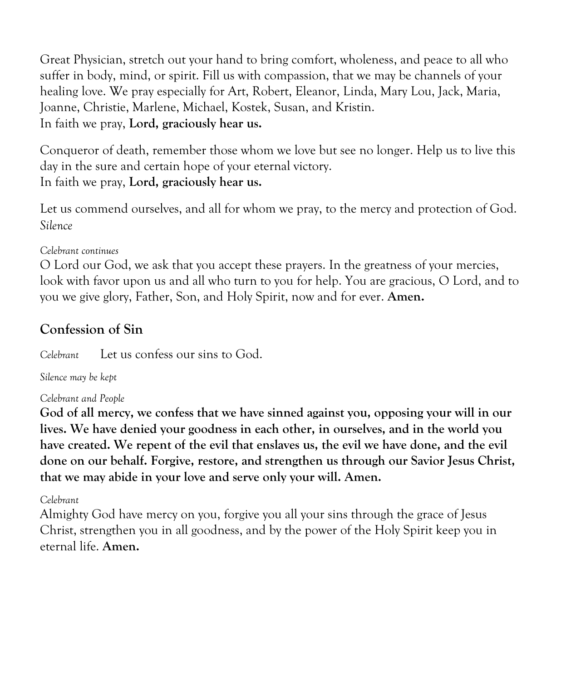Great Physician, stretch out your hand to bring comfort, wholeness, and peace to all who suffer in body, mind, or spirit. Fill us with compassion, that we may be channels of your healing love. We pray especially for Art, Robert, Eleanor, Linda, Mary Lou, Jack, Maria, Joanne, Christie, Marlene, Michael, Kostek, Susan, and Kristin. In faith we pray, **Lord, graciously hear us.**

Conqueror of death, remember those whom we love but see no longer. Help us to live this day in the sure and certain hope of your eternal victory. In faith we pray, **Lord, graciously hear us.**

Let us commend ourselves, and all for whom we pray, to the mercy and protection of God. *Silence*

*Celebrant continues*

O Lord our God, we ask that you accept these prayers. In the greatness of your mercies, look with favor upon us and all who turn to you for help. You are gracious, O Lord, and to you we give glory, Father, Son, and Holy Spirit, now and for ever. **Amen.**

# **Confession of Sin**

*Celebrant* Let us confess our sins to God.

*Silence may be kept*

*Celebrant and People*

**God of all mercy, we confess that we have sinned against you, opposing your will in our lives. We have denied your goodness in each other, in ourselves, and in the world you have created. We repent of the evil that enslaves us, the evil we have done, and the evil done on our behalf. Forgive, restore, and strengthen us through our Savior Jesus Christ, that we may abide in your love and serve only your will. Amen.**

#### *Celebrant*

Almighty God have mercy on you, forgive you all your sins through the grace of Jesus Christ, strengthen you in all goodness, and by the power of the Holy Spirit keep you in eternal life. **Amen.**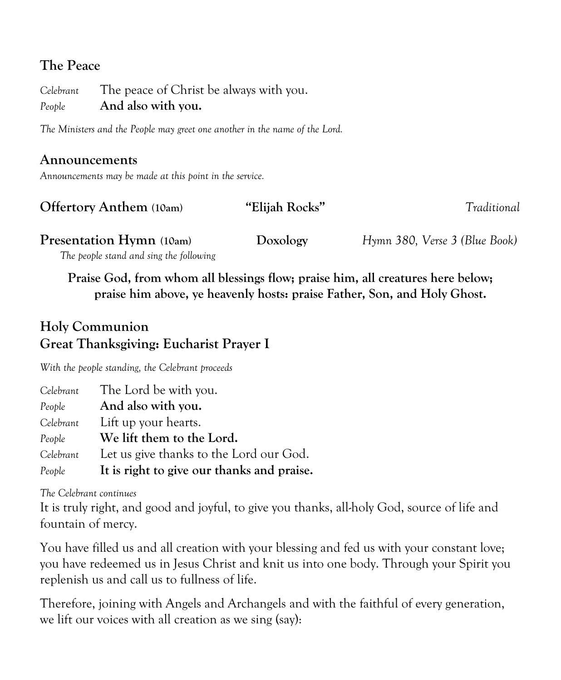# **The Peace**

*Celebrant* The peace of Christ be always with you. *People* **And also with you.**

*The Ministers and the People may greet one another in the name of the Lord.*

#### **Announcements**

*Announcements may be made at this point in the service.*

| <b>Offertory Anthem</b> (10am)          | "Elijah Rocks" | Traditional                   |
|-----------------------------------------|----------------|-------------------------------|
| Presentation Hymn (10am)                | Doxology       | Hymn 380, Verse 3 (Blue Book) |
| The people stand and sing the following |                |                               |

**Praise God, from whom all blessings flow; praise him, all creatures here below;**

**praise him above, ye heavenly hosts: praise Father, Son, and Holy Ghost.**

# **Holy Communion Great Thanksgiving: Eucharist Prayer I**

*With the people standing, the Celebrant proceeds*

| Celebrant | The Lord be with you.                      |
|-----------|--------------------------------------------|
| People    | And also with you.                         |
| Celebrant | Lift up your hearts.                       |
| People    | We lift them to the Lord.                  |
| Celebrant | Let us give thanks to the Lord our God.    |
| People    | It is right to give our thanks and praise. |

*The Celebrant continues*

It is truly right, and good and joyful, to give you thanks, all-holy God, source of life and fountain of mercy.

You have filled us and all creation with your blessing and fed us with your constant love; you have redeemed us in Jesus Christ and knit us into one body. Through your Spirit you replenish us and call us to fullness of life.

Therefore, joining with Angels and Archangels and with the faithful of every generation, we lift our voices with all creation as we sing (say):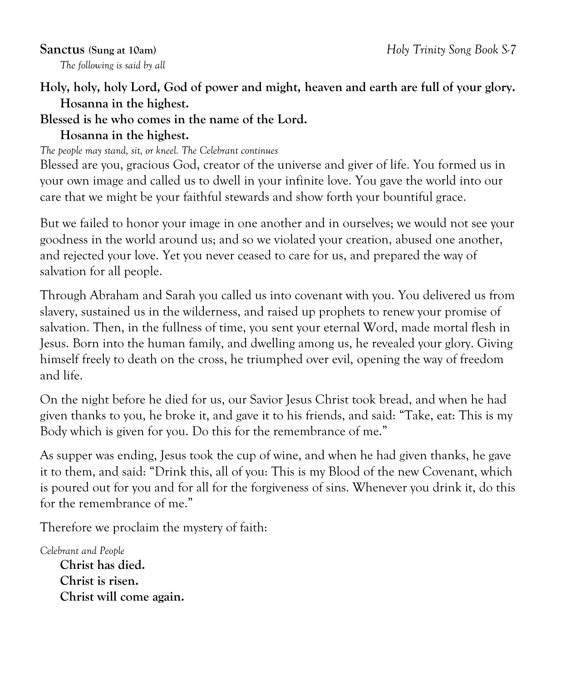# *The following is said by all*

# **Holy, holy, holy Lord, God of power and might, heaven and earth are full of your glory. Hosanna in the highest.**

# **Blessed is he who comes in the name of the Lord.**

# **Hosanna in the highest.**

*The people may stand, sit, or kneel. The Celebrant continues*

Blessed are you, gracious God, creator of the universe and giver of life. You formed us in your own image and called us to dwell in your infinite love. You gave the world into our care that we might be your faithful stewards and show forth your bountiful grace.

But we failed to honor your image in one another and in ourselves; we would not see your goodness in the world around us; and so we violated your creation, abused one another, and rejected your love. Yet you never ceased to care for us, and prepared the way of salvation for all people.

Through Abraham and Sarah you called us into covenant with you. You delivered us from slavery, sustained us in the wilderness, and raised up prophets to renew your promise of salvation. Then, in the fullness of time, you sent your eternal Word, made mortal flesh in Jesus. Born into the human family, and dwelling among us, he revealed your glory. Giving himself freely to death on the cross, he triumphed over evil, opening the way of freedom and life.

On the night before he died for us, our Savior Jesus Christ took bread, and when he had given thanks to you, he broke it, and gave it to his friends, and said: "Take, eat: This is my Body which is given for you. Do this for the remembrance of me."

As supper was ending, Jesus took the cup of wine, and when he had given thanks, he gave it to them, and said: "Drink this, all of you: This is my Blood of the new Covenant, which is poured out for you and for all for the forgiveness of sins. Whenever you drink it, do this for the remembrance of me."

Therefore we proclaim the mystery of faith:

*Celebrant and People* **Christ has died. Christ is risen. Christ will come again.**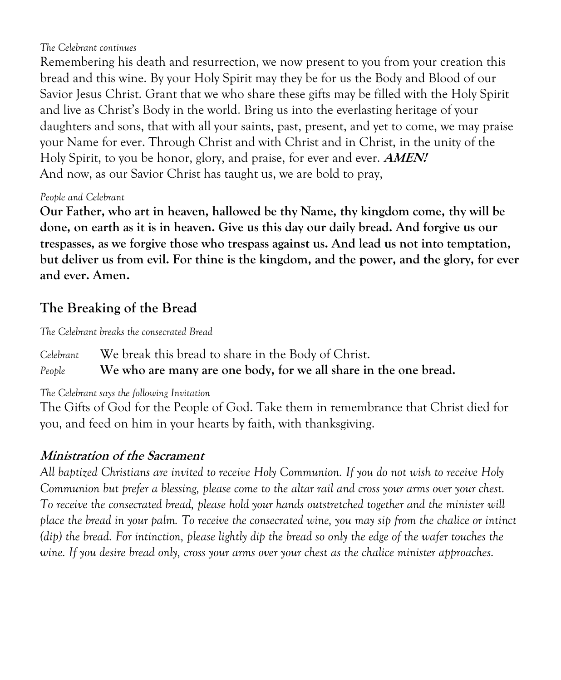#### *The Celebrant continues*

Remembering his death and resurrection, we now present to you from your creation this bread and this wine. By your Holy Spirit may they be for us the Body and Blood of our Savior Jesus Christ. Grant that we who share these gifts may be filled with the Holy Spirit and live as Christ's Body in the world. Bring us into the everlasting heritage of your daughters and sons, that with all your saints, past, present, and yet to come, we may praise your Name for ever. Through Christ and with Christ and in Christ, in the unity of the Holy Spirit, to you be honor, glory, and praise, for ever and ever. **AMEN!** And now, as our Savior Christ has taught us, we are bold to pray,

#### *People and Celebrant*

**Our Father, who art in heaven, hallowed be thy Name, thy kingdom come, thy will be done, on earth as it is in heaven. Give us this day our daily bread. And forgive us our trespasses, as we forgive those who trespass against us. And lead us not into temptation, but deliver us from evil. For thine is the kingdom, and the power, and the glory, for ever and ever. Amen.**

# **The Breaking of the Bread**

*The Celebrant breaks the consecrated Bread*

*Celebrant* We break this bread to share in the Body of Christ. *People* **We who are many are one body, for we all share in the one bread.**

*The Celebrant says the following Invitation*

The Gifts of God for the People of God. Take them in remembrance that Christ died for you, and feed on him in your hearts by faith, with thanksgiving.

### **Ministration of the Sacrament**

*All baptized Christians are invited to receive Holy Communion. If you do not wish to receive Holy Communion but prefer a blessing, please come to the altar rail and cross your arms over your chest. To receive the consecrated bread, please hold your hands outstretched together and the minister will place the bread in your palm. To receive the consecrated wine, you may sip from the chalice or intinct (dip) the bread. For intinction, please lightly dip the bread so only the edge of the wafer touches the wine. If you desire bread only, cross your arms over your chest as the chalice minister approaches.*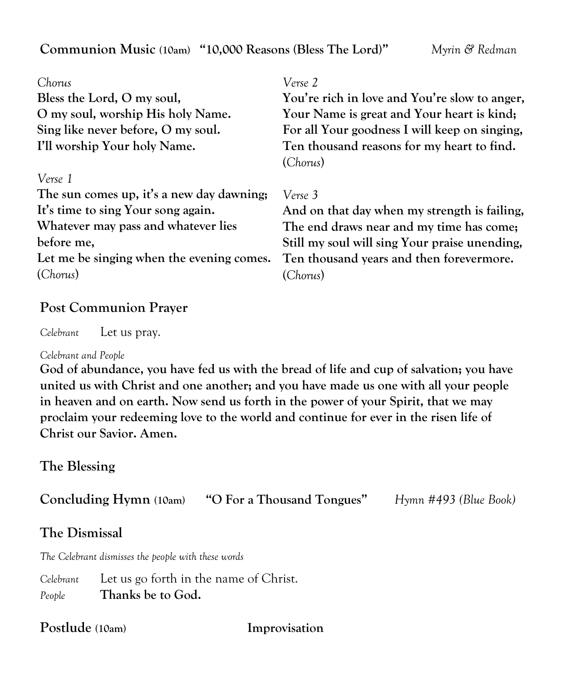| Chorus                                    | Verse 2                                       |
|-------------------------------------------|-----------------------------------------------|
| Bless the Lord, O my soul,                | You're rich in love and You're slow to anger, |
| O my soul, worship His holy Name.         | Your Name is great and Your heart is kind;    |
| Sing like never before, O my soul.        | For all Your goodness I will keep on singing, |
| I'll worship Your holy Name.              | Ten thousand reasons for my heart to find.    |
|                                           | (Chorus)                                      |
| Verse 1                                   |                                               |
| The sun comes up, it's a new day dawning; | Verse 3                                       |
| It's time to sing Your song again.        | And on that day when my strength is failing,  |
|                                           |                                               |
| Whatever may pass and whatever lies       | The end draws near and my time has come;      |
| before me,                                | Still my soul will sing Your praise unending, |
| Let me be singing when the evening comes. | Ten thousand years and then forevermore.      |
| (Chorus)                                  | (Chorus)                                      |

### **Post Communion Prayer**

*Celebrant* Let us pray.

#### *Celebrant and People*

**God of abundance, you have fed us with the bread of life and cup of salvation; you have united us with Christ and one another; and you have made us one with all your people in heaven and on earth. Now send us forth in the power of your Spirit, that we may proclaim your redeeming love to the world and continue for ever in the risen life of Christ our Savior. Amen.**

# **The Blessing**

**Concluding Hymn (10am) "O For a Thousand Tongues"** *Hymn #493 (Blue Book)*

### **The Dismissal**

*The Celebrant dismisses the people with these words*

*Celebrant* Let us go forth in the name of Christ. *People* **Thanks be to God.**

### **Postlude (10am) Improvisation**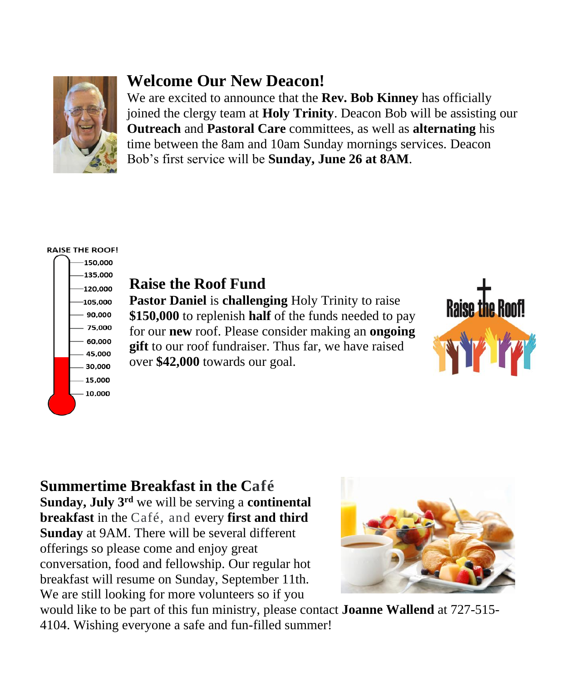

# **Welcome Our New Deacon!**

We are excited to announce that the **Rev. Bob Kinney** has officially joined the clergy team at **Holy Trinity**. Deacon Bob will be assisting our **Outreach** and **Pastoral Care** committees, as well as **alternating** his time between the 8am and 10am Sunday mornings services. Deacon Bob's first service will be **Sunday, June 26 at 8AM**.

#### **RAISE THE ROOF!**



#### **Raise the Roof Fund**

**Pastor Daniel** is **challenging** Holy Trinity to raise **\$150,000** to replenish **half** of the funds needed to pay for our **new** roof. Please consider making an **ongoing gift** to our roof fundraiser. Thus far, we have raised over **\$42,000** towards our goal.



# **Summertime Breakfast in the Café**

**Sunday, July 3rd** we will be serving a **continental breakfast** in the Café, and every **first and third Sunday** at 9AM. There will be several different offerings so please come and enjoy great conversation, food and fellowship. Our regular hot breakfast will resume on Sunday, September 11th. We are still looking for more volunteers so if you



would like to be part of this fun ministry, please contact **Joanne Wallend** at 727-515- 4104. Wishing everyone a safe and fun-filled summer!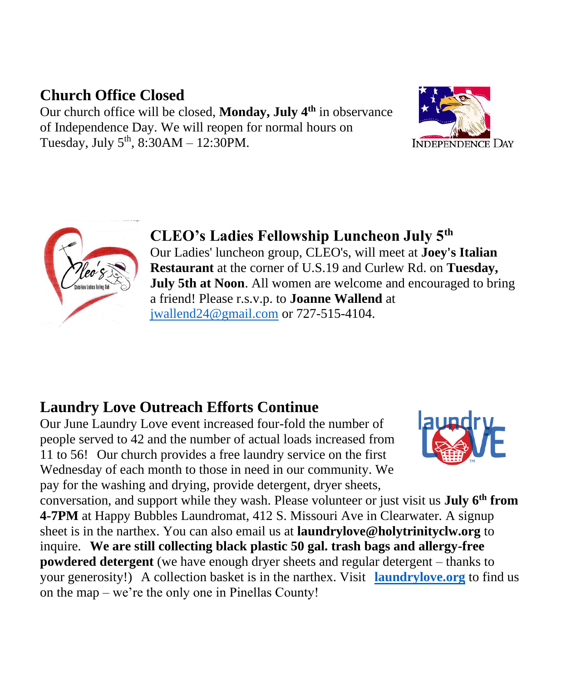# **Church Office Closed**

Our church office will be closed, **Monday, July 4th** in observance of Independence Day. We will reopen for normal hours on Tuesday, July  $5<sup>th</sup>$ , 8:30AM – 12:30PM.





# **CLEO's Ladies Fellowship Luncheon July 5th**

Our Ladies' luncheon group, CLEO's, will meet at **Joey's Italian Restaurant** at the corner of U.S.19 and Curlew Rd. on **Tuesday, July 5th at Noon.** All women are welcome and encouraged to bring a friend! Please r.s.v.p. to **Joanne Wallend** at [jwallend24@gmail.com](mailto:jwallend24@gmail.com) or 727-515-4104.

# **Laundry Love Outreach Efforts Continue**

Our June Laundry Love event increased four-fold the number of people served to 42 and the number of actual loads increased from 11 to 56! Our church provides a free laundry service on the first Wednesday of each month to those in need in our community. We pay for the washing and drying, provide detergent, dryer sheets,



conversation, and support while they wash. Please volunteer or just visit us **July 6th from 4-7PM** at Happy Bubbles Laundromat, 412 S. Missouri Ave in Clearwater. A signup sheet is in the narthex. You can also email us at **laundrylove@holytrinityclw.org** to inquire. **We are still collecting black plastic 50 gal. trash bags and allergy-free powdered detergent** (we have enough dryer sheets and regular detergent – thanks to your generosity!) A collection basket is in the narthex. Visit **[laundrylove.org](http://laundrylove.org/)** to find us on the map – we're the only one in Pinellas County!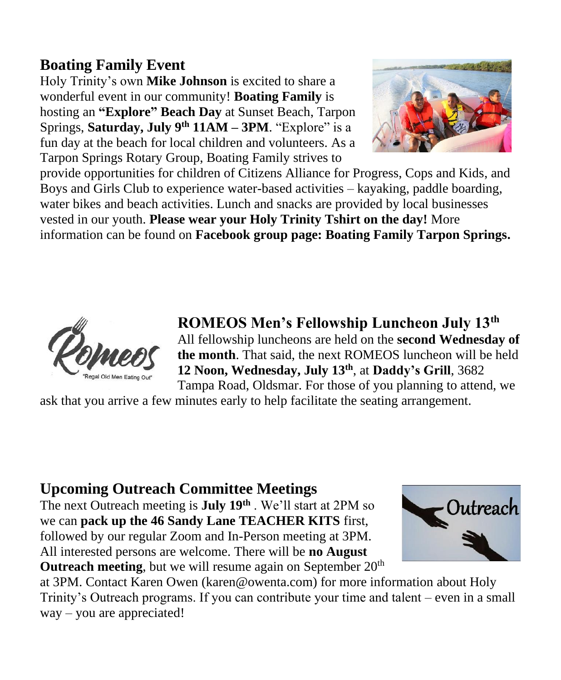# **Boating Family Event**

Holy Trinity's own **Mike Johnson** is excited to share a wonderful event in our community! **Boating Family** is hosting an **"Explore" Beach Day** at Sunset Beach, Tarpon Springs, **Saturday, July 9th 11AM – 3PM**. "Explore" is a fun day at the beach for local children and volunteers. As a Tarpon Springs Rotary Group, Boating Family strives to



provide opportunities for children of Citizens Alliance for Progress, Cops and Kids, and Boys and Girls Club to experience water-based activities – kayaking, paddle boarding, water bikes and beach activities. Lunch and snacks are provided by local businesses vested in our youth. **Please wear your Holy Trinity Tshirt on the day!** More information can be found on **Facebook group page: Boating Family Tarpon Springs.**



# **ROMEOS Men's Fellowship Luncheon July 13th**

All fellowship luncheons are held on the **second Wednesday of the month**. That said, the next ROMEOS luncheon will be held **12 Noon, Wednesday, July 13th**, at **Daddy's Grill**, 3682 Tampa Road, Oldsmar. For those of you planning to attend, we

ask that you arrive a few minutes early to help facilitate the seating arrangement.

# **Upcoming Outreach Committee Meetings**

The next Outreach meeting is **July 19th** . We'll start at 2PM so we can **pack up the 46 Sandy Lane TEACHER KITS** first, followed by our regular Zoom and In-Person meeting at 3PM. All interested persons are welcome. There will be **no August Outreach meeting**, but we will resume again on September  $20<sup>th</sup>$ 



at 3PM. Contact Karen Owen (karen@owenta.com) for more information about Holy Trinity's Outreach programs. If you can contribute your time and talent – even in a small way – you are appreciated!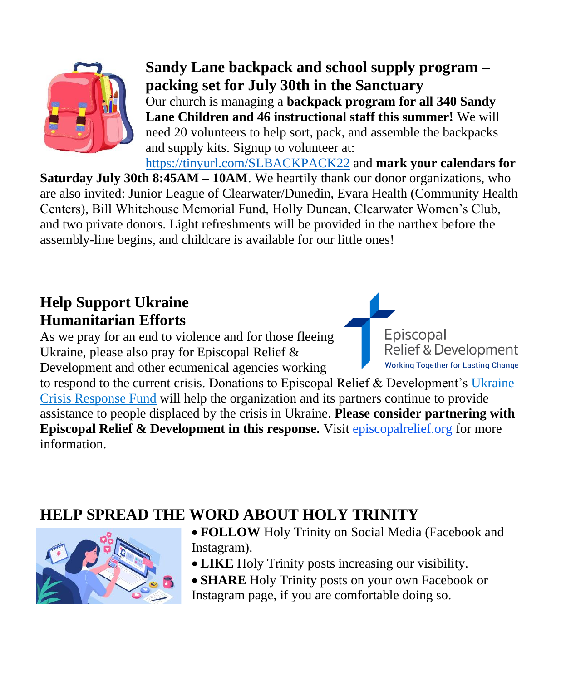

# **Sandy Lane backpack and school supply program – packing set for July 30th in the Sanctuary**

Our church is managing a **backpack program for all 340 Sandy Lane Children and 46 instructional staff this summer!** We will need 20 volunteers to help sort, pack, and assemble the backpacks and supply kits. Signup to volunteer at:

<https://tinyurl.com/SLBACKPACK22> and **mark your calendars for** 

**Saturday July 30th 8:45AM – 10AM**. We heartily thank our donor organizations, who are also invited: Junior League of Clearwater/Dunedin, Evara Health (Community Health Centers), Bill Whitehouse Memorial Fund, Holly Duncan, Clearwater Women's Club, and two private donors. Light refreshments will be provided in the narthex before the assembly-line begins, and childcare is available for our little ones!

# **Help Support Ukraine Humanitarian Efforts**

As we pray for an end to violence and for those fleeing Ukraine, please also pray for Episcopal Relief & Development and other ecumenical agencies working

Episcopal **Relief & Development Working Together for Lasting Change** 

to respond to the current crisis. Donations to Episcopal Relief & Development's [Ukraine](https://support.episcopalrelief.org/ukraineresponse?ID=220301DP0DS0100&utm_medium=web&utm_campaign=fy22ukraine&utm_source=220301DP0DS0100)  [Crisis Response Fund](https://support.episcopalrelief.org/ukraineresponse?ID=220301DP0DS0100&utm_medium=web&utm_campaign=fy22ukraine&utm_source=220301DP0DS0100) will help the organization and its partners continue to provide assistance to people displaced by the crisis in Ukraine. **Please consider partnering with Episcopal Relief & Development in this response.** Visit [episcopalrelief.org](https://www.episcopalrelief.org/product/ukraine-crisis-response/) for more information.

# **HELP SPREAD THE WORD ABOUT HOLY TRINITY**



- **FOLLOW** Holy Trinity on Social Media (Facebook and Instagram).
- **LIKE** Holy Trinity posts increasing our visibility.
- **SHARE** Holy Trinity posts on your own Facebook or Instagram page, if you are comfortable doing so.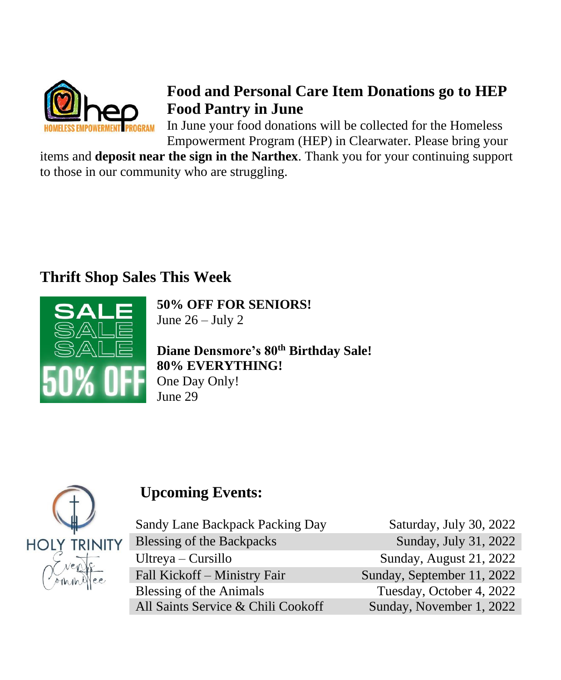

# **Food and Personal Care Item Donations go to HEP Food Pantry in June**

In June your food donations will be collected for the Homeless Empowerment Program (HEP) in Clearwater. Please bring your

items and **deposit near the sign in the Narthex**. Thank you for your continuing support to those in our community who are struggling.

# **Thrift Shop Sales This Week**



**5[0%](https://www.bing.com/ck/a?!&&p=ebfe9bee6b760cac78cb38100216fa6c83d6eb4e138e0f2f22836be6a9c12e63JmltdHM9MTY1NDAwNzg5OCZpZ3VpZD01OTk3NWYyNC1jYTI4LTQ5ZGItYmYzOC1kYjk1OTkyY2FlNjImaW5zaWQ9NTIxOQ&ptn=3&fclid=4fd96d8c-e0ef-11ec-8001-dfa331559b36&u=a1aHR0cHM6Ly93d3cuaG90c3ltYm9sLmNvbS9zeW1ib2wvY2VudC1zaWdu&ntb=1) OFF FOR SENIORS!** June  $26 -$  July 2

**Diane Densmore's 80th Birthday Sale! 80% EVERYTHING!** One Day Only! June 29



# **Upcoming Events:**

Sandy Lane Backpack Packing Day Saturday, July 30, 2022 Blessing of the Backpacks Sunday, July 31, 2022 Ultreya – Cursillo Sunday, August 21, 2022 Fall Kickoff – Ministry Fair Sunday, September 11, 2022 Blessing of the Animals Tuesday, October 4, 2022 All Saints Service & Chili Cookoff Sunday, November 1, 2022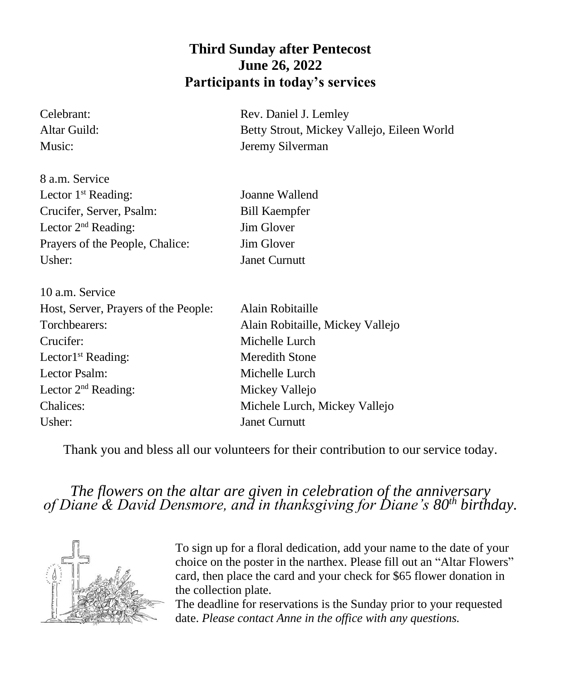# **Third Sunday after Pentecost June 26, 2022 Participants in today's services**

| Celebrant:   | Rev. Daniel J. Lemley                      |
|--------------|--------------------------------------------|
| Altar Guild: | Betty Strout, Mickey Vallejo, Eileen World |
| Music:       | Jeremy Silverman                           |

| Lector $1st$ Reading:                | Joanne Wallend           |
|--------------------------------------|--------------------------|
| Crucifer, Server, Psalm:             | <b>Bill Kaempfer</b>     |
| Lector $2nd$ Reading:                | Jim Glover               |
| Prayers of the People, Chalice:      | Jim Glover               |
| Usher:                               | Janet Curnutt            |
| 10 a.m. Service                      |                          |
| Host, Server, Prayers of the People: | Alain Robitaille         |
| Torchbearers:                        | Alain Robitaille. Mickey |

| TV dilli del vice                    |                      |
|--------------------------------------|----------------------|
| Host, Server, Prayers of the People: | Alain Robitai        |
| Torchbearers:                        | Alain Robitai        |
| Crucifer:                            | Michelle Lur         |
| Lector1 <sup>st</sup> Reading:       | Meredith Sto         |
| Lector Psalm:                        | Michelle Lur         |
| Lector $2nd$ Reading:                | Mickey Valle         |
| Chalices:                            | Michele Lurc         |
| Usher:                               | <b>Janet Curnutt</b> |
|                                      |                      |

y Vallejo lle Lurch lith Stone lle Lurch ev Vallejo le Lurch, Mickey Vallejo

Thank you and bless all our volunteers for their contribution to our service today.

# *The flowers on the altar are given in celebration of the anniversary of Diane & David Densmore, and in thanksgiving for Diane's 80th birthday.*



8 a.m. Service

To sign up for a floral dedication, add your name to the date of your choice on the poster in the narthex. Please fill out an "Altar Flowers" card, then place the card and your check for \$65 flower donation in the collection plate.

The deadline for reservations is the Sunday prior to your requested date. *Please contact Anne in the office with any questions.*